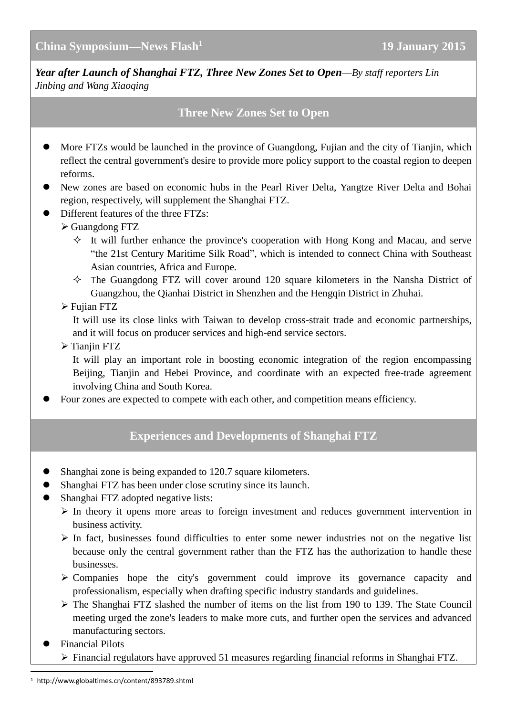*Year after Launch of Shanghai FTZ, Three New Zones Set to Open—By staff reporters Lin Jinbing and Wang Xiaoqing*

## **Three New Zones Set to Open**

- More FTZs would be launched in the province of Guangdong, Fujian and the city of Tianjin, which reflect the central government's desire to provide more policy support to the coastal region to deepen reforms.
- New zones are based on economic hubs in the Pearl River Delta, Yangtze River Delta and Bohai region, respectively, will supplement the Shanghai FTZ.
- $\bullet$  Different features of the three FTZs:
	- Guangdong FTZ
		- $\Diamond$  It will further enhance the province's cooperation with Hong Kong and Macau, and serve "the 21st Century Maritime Silk Road", which is intended to connect China with Southeast Asian countries, Africa and Europe.
		- $\Diamond$  The Guangdong FTZ will cover around 120 square kilometers in the Nansha District of Guangzhou, the Qianhai District in Shenzhen and the Hengqin District in Zhuhai.
	- Fujian FTZ

It will use its close links with Taiwan to develop cross-strait trade and economic partnerships, and it will focus on producer services and high-end service sectors.

 $\triangleright$  Tianjin FTZ

It will play an important role in boosting economic integration of the region encompassing Beijing, Tianjin and Hebei Province, and coordinate with an expected free-trade agreement involving China and South Korea.

Four zones are expected to compete with each other, and competition means efficiency.

## **Experiences and Developments of Shanghai FTZ**

- Shanghai zone is being expanded to 120.7 square kilometers.
- Shanghai FTZ has been under close scrutiny since its launch.
- Shanghai FTZ adopted negative lists:
	- $\triangleright$  In theory it opens more areas to foreign investment and reduces government intervention in business activity.
	- $\triangleright$  In fact, businesses found difficulties to enter some newer industries not on the negative list because only the central government rather than the FTZ has the authorization to handle these businesses.
	- $\triangleright$  Companies hope the city's government could improve its governance capacity and professionalism, especially when drafting specific industry standards and guidelines.
	- The Shanghai FTZ slashed the number of items on the list from 190 to 139. The State Council meeting urged the zone's leaders to make more cuts, and further open the services and advanced manufacturing sectors.
- Financial Pilots

-

Financial regulators have approved 51 measures regarding financial reforms in Shanghai FTZ.